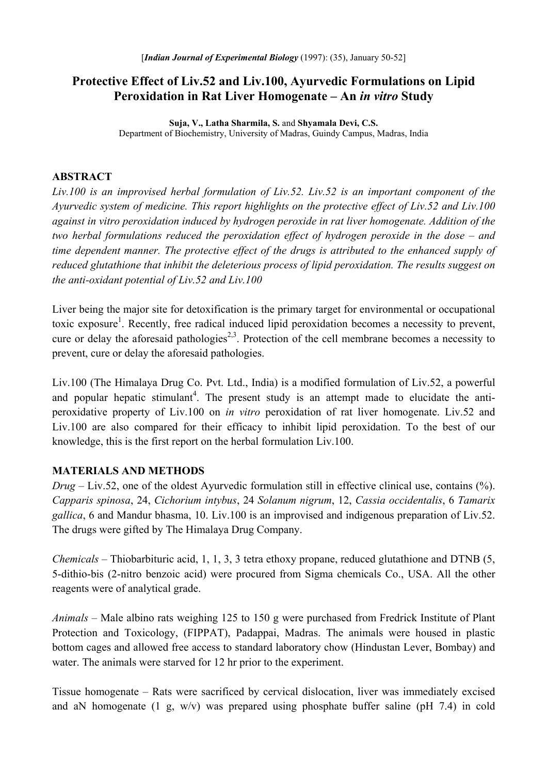# **Protective Effect of Liv.52 and Liv.100, Ayurvedic Formulations on Lipid Peroxidation in Rat Liver Homogenate – An** *in vitro* **Study**

**Suja, V., Latha Sharmila, S.** and **Shyamala Devi, C.S.**  Department of Biochemistry, University of Madras, Guindy Campus, Madras, India

### **ABSTRACT**

*Liv.100 is an improvised herbal formulation of Liv.52. Liv.52 is an important component of the Ayurvedic system of medicine. This report highlights on the protective effect of Liv.52 and Liv.100 against in vitro peroxidation induced by hydrogen peroxide in rat liver homogenate. Addition of the two herbal formulations reduced the peroxidation effect of hydrogen peroxide in the dose – and time dependent manner. The protective effect of the drugs is attributed to the enhanced supply of reduced glutathione that inhibit the deleterious process of lipid peroxidation. The results suggest on the anti-oxidant potential of Liv.52 and Liv.100* 

Liver being the major site for detoxification is the primary target for environmental or occupational toxic exposure<sup>1</sup>. Recently, free radical induced lipid peroxidation becomes a necessity to prevent, cure or delay the aforesaid pathologies<sup>2,3</sup>. Protection of the cell membrane becomes a necessity to prevent, cure or delay the aforesaid pathologies.

Liv.100 (The Himalaya Drug Co. Pvt. Ltd., India) is a modified formulation of Liv.52, a powerful and popular hepatic stimulant<sup>4</sup>. The present study is an attempt made to elucidate the antiperoxidative property of Liv.100 on *in vitro* peroxidation of rat liver homogenate. Liv.52 and Liv.100 are also compared for their efficacy to inhibit lipid peroxidation. To the best of our knowledge, this is the first report on the herbal formulation Liv.100.

## **MATERIALS AND METHODS**

*Drug* – Liv.52, one of the oldest Ayurvedic formulation still in effective clinical use, contains (%). *Capparis spinosa*, 24, *Cichorium intybus*, 24 *Solanum nigrum*, 12, *Cassia occidentalis*, 6 *Tamarix gallica*, 6 and Mandur bhasma, 10. Liv.100 is an improvised and indigenous preparation of Liv.52. The drugs were gifted by The Himalaya Drug Company.

*Chemicals* – Thiobarbituric acid, 1, 1, 3, 3 tetra ethoxy propane, reduced glutathione and DTNB (5, 5-dithio-bis (2-nitro benzoic acid) were procured from Sigma chemicals Co., USA. All the other reagents were of analytical grade.

*Animals* – Male albino rats weighing 125 to 150 g were purchased from Fredrick Institute of Plant Protection and Toxicology, (FIPPAT), Padappai, Madras. The animals were housed in plastic bottom cages and allowed free access to standard laboratory chow (Hindustan Lever, Bombay) and water. The animals were starved for 12 hr prior to the experiment.

Tissue homogenate – Rats were sacrificed by cervical dislocation, liver was immediately excised and aN homogenate (1 g, w/v) was prepared using phosphate buffer saline (pH 7.4) in cold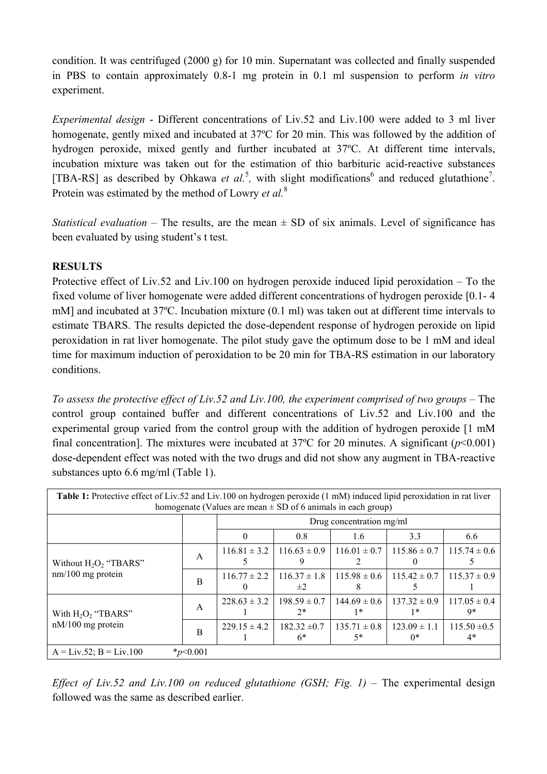condition. It was centrifuged (2000 g) for 10 min. Supernatant was collected and finally suspended in PBS to contain approximately 0.8-1 mg protein in 0.1 ml suspension to perform *in vitro*  experiment.

*Experimental design* - Different concentrations of Liv.52 and Liv.100 were added to 3 ml liver homogenate, gently mixed and incubated at 37ºC for 20 min. This was followed by the addition of hydrogen peroxide, mixed gently and further incubated at 37ºC. At different time intervals, incubation mixture was taken out for the estimation of thio barbituric acid-reactive substances [TBA-RS] as described by Ohkawa *et al.*<sup>5</sup>, with slight modifications<sup>6</sup> and reduced glutathione<sup>7</sup>. Protein was estimated by the method of Lowry *et al.*<sup>8</sup>

*Statistical evaluation* – The results, are the mean  $\pm$  SD of six animals. Level of significance has been evaluated by using student's t test.

## **RESULTS**

Protective effect of Liv.52 and Liv.100 on hydrogen peroxide induced lipid peroxidation – To the fixed volume of liver homogenate were added different concentrations of hydrogen peroxide [0.1- 4 mM] and incubated at 37ºC. Incubation mixture (0.1 ml) was taken out at different time intervals to estimate TBARS. The results depicted the dose-dependent response of hydrogen peroxide on lipid peroxidation in rat liver homogenate. The pilot study gave the optimum dose to be 1 mM and ideal time for maximum induction of peroxidation to be 20 min for TBA-RS estimation in our laboratory conditions.

*To assess the protective effect of Liv.52 and Liv.100, the experiment comprised of two groups* – The control group contained buffer and different concentrations of Liv.52 and Liv.100 and the experimental group varied from the control group with the addition of hydrogen peroxide [1 mM final concentration]. The mixtures were incubated at  $37^{\circ}$ C for 20 minutes. A significant ( $p$ <0.001) dose-dependent effect was noted with the two drugs and did not show any augment in TBA-reactive substances upto 6.6 mg/ml (Table 1).

| Table 1: Protective effect of Liv.52 and Liv.100 on hydrogen peroxide (1 mM) induced lipid peroxidation in rat liver<br>homogenate (Values are mean $\pm$ SD of 6 animals in each group) |               |                          |                             |                                     |                          |                          |
|------------------------------------------------------------------------------------------------------------------------------------------------------------------------------------------|---------------|--------------------------|-----------------------------|-------------------------------------|--------------------------|--------------------------|
|                                                                                                                                                                                          |               | Drug concentration mg/ml |                             |                                     |                          |                          |
|                                                                                                                                                                                          |               | $\Omega$                 | 0.8                         | 1.6                                 | 3.3                      | 6.6                      |
| Without $H_2O_2$ "TBARS"<br>$nm/100$ mg protein                                                                                                                                          | A             | $116.81 \pm 3.2$         | $116.63 \pm 0.9$            | $116.01 \pm 0.7$   $115.86 \pm 0.7$ |                          | $115.74 \pm 0.6$         |
|                                                                                                                                                                                          | B             | $116.77 \pm 2.2$         | $116.37 \pm 1.8$<br>$\pm 2$ | $115.98 \pm 0.6$                    | $115.42 \pm 0.7$         | $115.37 \pm 0.9$         |
| With $H_2O_2$ "TBARS"<br>nM/100 mg protein                                                                                                                                               | A             | $228.63 \pm 3.2$         | $198.59 \pm 0.7$<br>$2*$    | $144.69 \pm 0.6$<br>1*              | $137.32 \pm 0.9$<br>1*   | $117.05 \pm 0.4$<br>9*   |
|                                                                                                                                                                                          | B             | $229.15 \pm 4.2$         | $182.32 \pm 0.7$<br>6*      | $135.71 \pm 0.8$<br>$5*$            | $123.09 \pm 1.1$<br>$0*$ | $115.50 \pm 0.5$<br>$4*$ |
| $A = Liv.52$ ; $B = Liv.100$                                                                                                                                                             | $*_{p<0.001}$ |                          |                             |                                     |                          |                          |

*Effect of Liv.52 and Liv.100 on reduced glutathione (GSH; Fig. 1)* – The experimental design followed was the same as described earlier.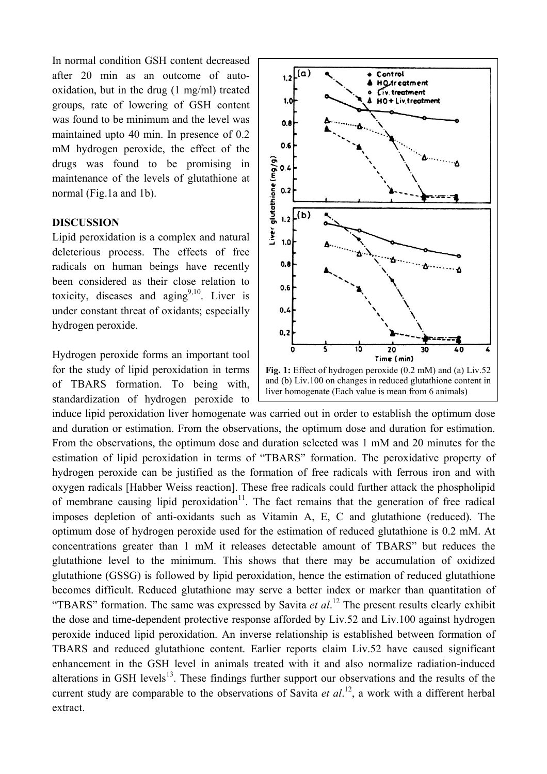In normal condition GSH content decreased after 20 min as an outcome of autooxidation, but in the drug (1 mg/ml) treated groups, rate of lowering of GSH content was found to be minimum and the level was maintained upto 40 min. In presence of 0.2 mM hydrogen peroxide, the effect of the drugs was found to be promising in maintenance of the levels of glutathione at normal (Fig.1a and 1b).

### **DISCUSSION**

Lipid peroxidation is a complex and natural deleterious process. The effects of free radicals on human beings have recently been considered as their close relation to toxicity, diseases and aging<sup>9,10</sup>. Liver is under constant threat of oxidants; especially hydrogen peroxide.

Hydrogen peroxide forms an important tool for the study of lipid peroxidation in terms of TBARS formation. To being with, standardization of hydrogen peroxide to



induce lipid peroxidation liver homogenate was carried out in order to establish the optimum dose and duration or estimation. From the observations, the optimum dose and duration for estimation. From the observations, the optimum dose and duration selected was 1 mM and 20 minutes for the estimation of lipid peroxidation in terms of "TBARS" formation. The peroxidative property of hydrogen peroxide can be justified as the formation of free radicals with ferrous iron and with oxygen radicals [Habber Weiss reaction]. These free radicals could further attack the phospholipid of membrane causing lipid peroxidation<sup>11</sup>. The fact remains that the generation of free radical imposes depletion of anti-oxidants such as Vitamin A, E, C and glutathione (reduced). The optimum dose of hydrogen peroxide used for the estimation of reduced glutathione is 0.2 mM. At concentrations greater than 1 mM it releases detectable amount of TBARS" but reduces the glutathione level to the minimum. This shows that there may be accumulation of oxidized glutathione (GSSG) is followed by lipid peroxidation, hence the estimation of reduced glutathione becomes difficult. Reduced glutathione may serve a better index or marker than quantitation of "TBARS" formation. The same was expressed by Savita *et al*. 12 The present results clearly exhibit the dose and time-dependent protective response afforded by Liv.52 and Liv.100 against hydrogen peroxide induced lipid peroxidation. An inverse relationship is established between formation of TBARS and reduced glutathione content. Earlier reports claim Liv.52 have caused significant enhancement in the GSH level in animals treated with it and also normalize radiation-induced alterations in GSH levels<sup>13</sup>. These findings further support our observations and the results of the current study are comparable to the observations of Savita *et al.*<sup>12</sup>, a work with a different herbal extract.